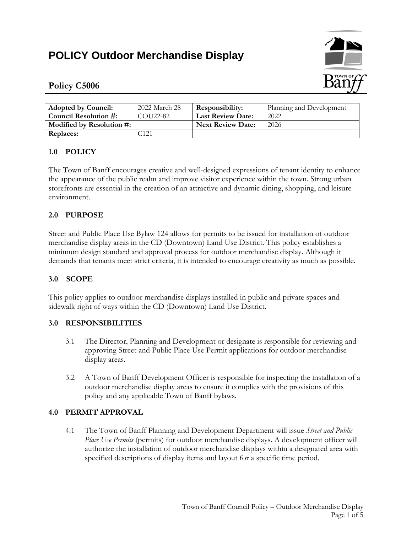# **POLICY Outdoor Merchandise Display**



## **Policy C5006**

| <b>Adopted by Council:</b> | 2022 March 28         | <b>Responsibility:</b>   | Planning and Development |
|----------------------------|-----------------------|--------------------------|--------------------------|
| Council Resolution #:      | COU <sub>22</sub> -82 | <b>Last Review Date:</b> | 2022                     |
| Modified by Resolution #:  |                       | <b>Next Review Date:</b> | 2026                     |
| Replaces:                  | 121                   |                          |                          |

## **1.0 POLICY**

The Town of Banff encourages creative and well-designed expressions of tenant identity to enhance the appearance of the public realm and improve visitor experience within the town. Strong urban storefronts are essential in the creation of an attractive and dynamic dining, shopping, and leisure environment.

## **2.0 PURPOSE**

Street and Public Place Use Bylaw 124 allows for permits to be issued for installation of outdoor merchandise display areas in the CD (Downtown) Land Use District. This policy establishes a minimum design standard and approval process for outdoor merchandise display. Although it demands that tenants meet strict criteria, it is intended to encourage creativity as much as possible.

## **3.0 SCOPE**

This policy applies to outdoor merchandise displays installed in public and private spaces and sidewalk right of ways within the CD (Downtown) Land Use District.

#### **3.0 RESPONSIBILITIES**

- 3.1 The Director, Planning and Development or designate is responsible for reviewing and approving Street and Public Place Use Permit applications for outdoor merchandise display areas.
- 3.2 A Town of Banff Development Officer is responsible for inspecting the installation of a outdoor merchandise display areas to ensure it complies with the provisions of this policy and any applicable Town of Banff bylaws.

## **4.0 PERMIT APPROVAL**

4.1 The Town of Banff Planning and Development Department will issue *Street and Public Place Use Permits* (permits) for outdoor merchandise displays. A development officer will authorize the installation of outdoor merchandise displays within a designated area with specified descriptions of display items and layout for a specific time period.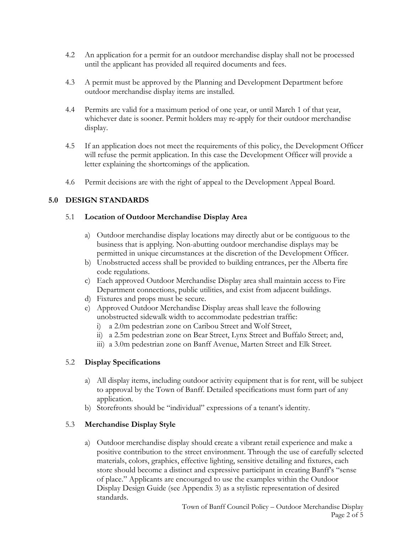- 4.2 An application for a permit for an outdoor merchandise display shall not be processed until the applicant has provided all required documents and fees.
- 4.3 A permit must be approved by the Planning and Development Department before outdoor merchandise display items are installed.
- 4.4 Permits are valid for a maximum period of one year, or until March 1 of that year, whichever date is sooner. Permit holders may re-apply for their outdoor merchandise display.
- 4.5 If an application does not meet the requirements of this policy, the Development Officer will refuse the permit application. In this case the Development Officer will provide a letter explaining the shortcomings of the application.
- 4.6 Permit decisions are with the right of appeal to the Development Appeal Board.

## **5.0 DESIGN STANDARDS**

#### 5.1 **Location of Outdoor Merchandise Display Area**

- a) Outdoor merchandise display locations may directly abut or be contiguous to the business that is applying. Non-abutting outdoor merchandise displays may be permitted in unique circumstances at the discretion of the Development Officer.
- b) Unobstructed access shall be provided to building entrances, per the Alberta fire code regulations.
- c) Each approved Outdoor Merchandise Display area shall maintain access to Fire Department connections, public utilities, and exist from adjacent buildings.
- d) Fixtures and props must be secure.
- e) Approved Outdoor Merchandise Display areas shall leave the following unobstructed sidewalk width to accommodate pedestrian traffic:
	- i) a 2.0m pedestrian zone on Caribou Street and Wolf Street,
	- ii) a 2.5m pedestrian zone on Bear Street, Lynx Street and Buffalo Street; and,
	- iii) a 3.0m pedestrian zone on Banff Avenue, Marten Street and Elk Street.

#### 5.2 **Display Specifications**

- a) All display items, including outdoor activity equipment that is for rent, will be subject to approval by the Town of Banff. Detailed specifications must form part of any application.
- b) Storefronts should be "individual" expressions of a tenant's identity.

#### 5.3 **Merchandise Display Style**

a) Outdoor merchandise display should create a vibrant retail experience and make a positive contribution to the street environment. Through the use of carefully selected materials, colors, graphics, effective lighting, sensitive detailing and fixtures, each store should become a distinct and expressive participant in creating Banff's "sense of place." Applicants are encouraged to use the examples within the Outdoor Display Design Guide (see Appendix 3) as a stylistic representation of desired standards.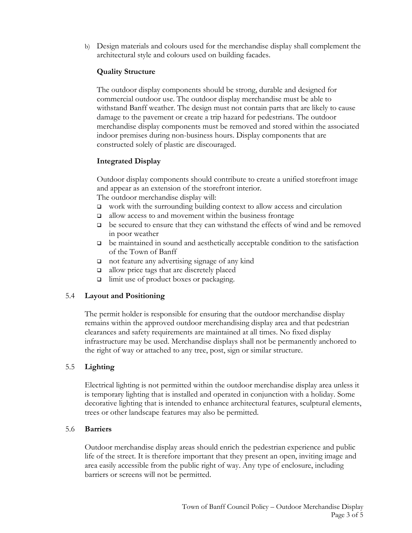b) Design materials and colours used for the merchandise display shall complement the architectural style and colours used on building facades.

#### **Quality Structure**

The outdoor display components should be strong, durable and designed for commercial outdoor use. The outdoor display merchandise must be able to withstand Banff weather. The design must not contain parts that are likely to cause damage to the pavement or create a trip hazard for pedestrians. The outdoor merchandise display components must be removed and stored within the associated indoor premises during non-business hours. Display components that are constructed solely of plastic are discouraged.

## **Integrated Display**

Outdoor display components should contribute to create a unified storefront image and appear as an extension of the storefront interior. The outdoor merchandise display will:

- work with the surrounding building context to allow access and circulation
- $\Box$  allow access to and movement within the business frontage
- be secured to ensure that they can withstand the effects of wind and be removed in poor weather
- be maintained in sound and aesthetically acceptable condition to the satisfaction of the Town of Banff
- □ not feature any advertising signage of any kind
- $\Box$  allow price tags that are discretely placed
- $\Box$  limit use of product boxes or packaging.

#### 5.4 **Layout and Positioning**

The permit holder is responsible for ensuring that the outdoor merchandise display remains within the approved outdoor merchandising display area and that pedestrian clearances and safety requirements are maintained at all times. No fixed display infrastructure may be used. Merchandise displays shall not be permanently anchored to the right of way or attached to any tree, post, sign or similar structure.

#### 5.5 **Lighting**

Electrical lighting is not permitted within the outdoor merchandise display area unless it is temporary lighting that is installed and operated in conjunction with a holiday. Some decorative lighting that is intended to enhance architectural features, sculptural elements, trees or other landscape features may also be permitted.

#### 5.6 **Barriers**

Outdoor merchandise display areas should enrich the pedestrian experience and public life of the street. It is therefore important that they present an open, inviting image and area easily accessible from the public right of way. Any type of enclosure, including barriers or screens will not be permitted.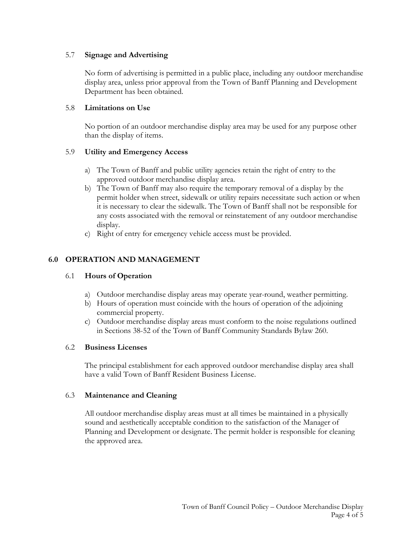#### 5.7 **Signage and Advertising**

No form of advertising is permitted in a public place, including any outdoor merchandise display area, unless prior approval from the Town of Banff Planning and Development Department has been obtained.

#### 5.8 **Limitations on Use**

No portion of an outdoor merchandise display area may be used for any purpose other than the display of items.

## 5.9 **Utility and Emergency Access**

- a) The Town of Banff and public utility agencies retain the right of entry to the approved outdoor merchandise display area.
- b) The Town of Banff may also require the temporary removal of a display by the permit holder when street, sidewalk or utility repairs necessitate such action or when it is necessary to clear the sidewalk. The Town of Banff shall not be responsible for any costs associated with the removal or reinstatement of any outdoor merchandise display.
- c) Right of entry for emergency vehicle access must be provided.

## **6.0 OPERATION AND MANAGEMENT**

## 6.1 **Hours of Operation**

- a) Outdoor merchandise display areas may operate year-round, weather permitting.
- b) Hours of operation must coincide with the hours of operation of the adjoining commercial property.
- c) Outdoor merchandise display areas must conform to the noise regulations outlined in Sections 38-52 of the Town of Banff Community Standards Bylaw 260.

#### 6.2 **Business Licenses**

The principal establishment for each approved outdoor merchandise display area shall have a valid Town of Banff Resident Business License.

#### 6.3 **Maintenance and Cleaning**

All outdoor merchandise display areas must at all times be maintained in a physically sound and aesthetically acceptable condition to the satisfaction of the Manager of Planning and Development or designate. The permit holder is responsible for cleaning the approved area.